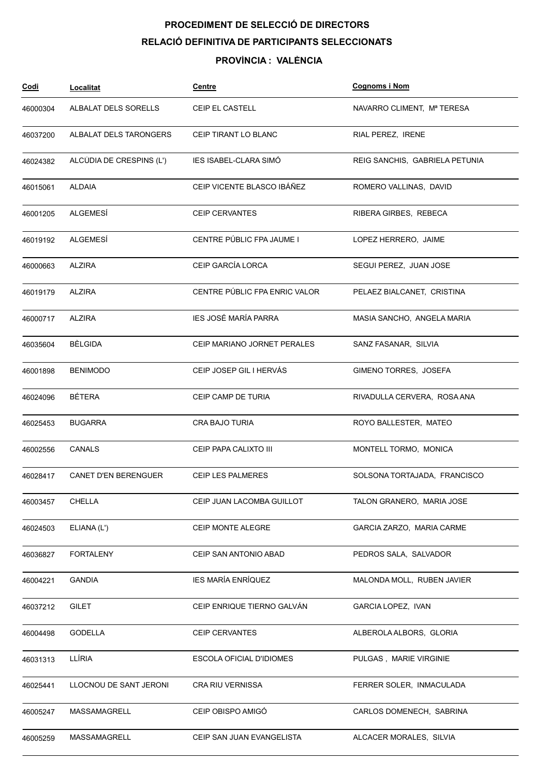# PROCEDIMENT DE SELECCIÓ DE DIRECTORS RELACIÓ DEFINITIVA DE PARTICIPANTS SELECCIONATS

### PROVÍNCIA : VALÈNCIA

| <u>Codi</u> | <b>Localitat</b>         | <u>Centre</u>                 | <b>Cognoms i Nom</b>           |
|-------------|--------------------------|-------------------------------|--------------------------------|
| 46000304    | ALBALAT DELS SORELLS     | <b>CEIP EL CASTELL</b>        | NAVARRO CLIMENT, Mª TERESA     |
| 46037200    | ALBALAT DELS TARONGERS   | CEIP TIRANT LO BLANC          | RIAL PEREZ, IRENE              |
| 46024382    | ALCÚDIA DE CRESPINS (L') | IES ISABEL-CLARA SIMO         | REIG SANCHIS, GABRIELA PETUNIA |
| 46015061    | <b>ALDAIA</b>            | CEIP VICENTE BLASCO IBÁÑEZ    | ROMERO VALLINAS, DAVID         |
| 46001205    | ALGEMESI                 | <b>CEIP CERVANTES</b>         | RIBERA GIRBES, REBECA          |
| 46019192    | ALGEMESÍ                 | CENTRE PÚBLIC FPA JAUME I     | LOPEZ HERRERO, JAIME           |
| 46000663    | ALZIRA                   | CEIP GARCÍA LORCA             | SEGUI PEREZ, JUAN JOSE         |
| 46019179    | <b>ALZIRA</b>            | CENTRE PÚBLIC FPA ENRIC VALOR | PELAEZ BIALCANET, CRISTINA     |
| 46000717    | <b>ALZIRA</b>            | IES JOSÉ MARÍA PARRA          | MASIA SANCHO, ANGELA MARIA     |
| 46035604    | <b>BÈLGIDA</b>           | CEIP MARIANO JORNET PERALES   | SANZ FASANAR, SILVIA           |
| 46001898    | <b>BENIMODO</b>          | CEIP JOSEP GIL I HERVAS       | GIMENO TORRES, JOSEFA          |
| 46024096    | <b>BÉTERA</b>            | CEIP CAMP DE TURIA            | RIVADULLA CERVERA, ROSA ANA    |
| 46025453    | <b>BUGARRA</b>           | CRA BAJO TURIA                | ROYO BALLESTER, MATEO          |
| 46002556    | CANALS                   | CEIP PAPA CALIXTO III         | MONTELL TORMO, MONICA          |
| 46028417    | CANET D'EN BERENGUER     | <b>CEIP LES PALMERES</b>      | SOLSONA TORTAJADA, FRANCISCO   |
| 46003457    | CHELLA                   | CEIP JUAN LACOMBA GUILLOT     | TALON GRANERO, MARIA JOSE      |
| 46024503    | ELIANA (L')              | CEIP MONTE ALEGRE             | GARCIA ZARZO, MARIA CARME      |
| 46036827    | <b>FORTALENY</b>         | CEIP SAN ANTONIO ABAD         | PEDROS SALA, SALVADOR          |
| 46004221    | <b>GANDIA</b>            | IES MARÍA ENRÍQUEZ            | MALONDA MOLL, RUBEN JAVIER     |
| 46037212    | <b>GILET</b>             | CEIP ENRIQUE TIERNO GALVÁN    | GARCIA LOPEZ, IVAN             |
| 46004498    | <b>GODELLA</b>           | <b>CEIP CERVANTES</b>         | ALBEROLA ALBORS, GLORIA        |
| 46031313    | LLÍRIA                   | ESCOLA OFICIAL D'IDIOMES      | PULGAS, MARIE VIRGINIE         |
| 46025441    | LLOCNOU DE SANT JERONI   | CRA RIU VERNISSA              | FERRER SOLER, INMACULADA       |
| 46005247    | MASSAMAGRELL             | CEIP OBISPO AMIGÓ             | CARLOS DOMENECH, SABRINA       |
| 46005259    | MASSAMAGRELL             | CEIP SAN JUAN EVANGELISTA     | ALCACER MORALES, SILVIA        |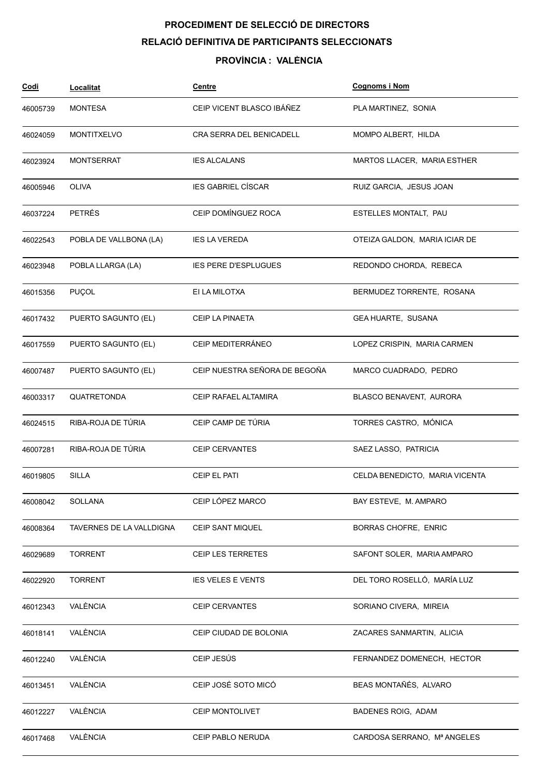## PROCEDIMENT DE SELECCIÓ DE DIRECTORS RELACIÓ DEFINITIVA DE PARTICIPANTS SELECCIONATS

### PROVÍNCIA : VALÈNCIA

| <u>Codi</u> | <b>Localitat</b>         | <b>Centre</b>                 | <b>Cognoms i Nom</b>           |
|-------------|--------------------------|-------------------------------|--------------------------------|
| 46005739    | <b>MONTESA</b>           | CEIP VICENT BLASCO IBÁÑEZ     | PLA MARTINEZ, SONIA            |
| 46024059    | <b>MONTITXELVO</b>       | CRA SERRA DEL BENICADELL      | MOMPO ALBERT, HILDA            |
| 46023924    | <b>MONTSERRAT</b>        | <b>IES ALCALANS</b>           | MARTOS LLACER, MARIA ESTHER    |
| 46005946    | <b>OLIVA</b>             | <b>IES GABRIEL CÍSCAR</b>     | RUIZ GARCIA, JESUS JOAN        |
| 46037224    | PETRÉS                   | CEIP DOMINGUEZ ROCA           | ESTELLES MONTALT, PAU          |
| 46022543    | POBLA DE VALLBONA (LA)   | <b>IES LA VEREDA</b>          | OTEIZA GALDON, MARIA ICIAR DE  |
| 46023948    | POBLA LLARGA (LA)        | <b>IES PERE D'ESPLUGUES</b>   | REDONDO CHORDA, REBECA         |
| 46015356    | PUÇOL                    | EI LA MILOTXA                 | BERMUDEZ TORRENTE, ROSANA      |
| 46017432    | PUERTO SAGUNTO (EL)      | CEIP LA PINAETA               | GEA HUARTE, SUSANA             |
| 46017559    | PUERTO SAGUNTO (EL)      | CEIP MEDITERRÁNEO             | LOPEZ CRISPIN, MARIA CARMEN    |
| 46007487    | PUERTO SAGUNTO (EL)      | CEIP NUESTRA SEÑORA DE BEGOÑA | MARCO CUADRADO, PEDRO          |
| 46003317    | QUATRETONDA              | CEIP RAFAEL ALTAMIRA          | BLASCO BENAVENT, AURORA        |
| 46024515    | RIBA-ROJA DE TÚRIA       | CEIP CAMP DE TÚRIA            | TORRES CASTRO, MÓNICA          |
| 46007281    | RIBA-ROJA DE TÚRIA       | <b>CEIP CERVANTES</b>         | SAEZ LASSO, PATRICIA           |
| 46019805    | <b>SILLA</b>             | CEIP EL PATI                  | CELDA BENEDICTO, MARIA VICENTA |
| 46008042    | SOLLANA                  | CEIP LÓPEZ MARCO              | BAY ESTEVE, M. AMPARO          |
| 46008364    | TAVERNES DE LA VALLDIGNA | CEIP SANT MIQUEL              | <b>BORRAS CHOFRE, ENRIC</b>    |
| 46029689    | <b>TORRENT</b>           | CEIP LES TERRETES             | SAFONT SOLER, MARIA AMPARO     |
| 46022920    | <b>TORRENT</b>           | <b>IES VELES E VENTS</b>      | DEL TORO ROSELLÓ, MARÍA LUZ    |
| 46012343    | VALÈNCIA                 | <b>CEIP CERVANTES</b>         | SORIANO CIVERA, MIREIA         |
| 46018141    | VALÈNCIA                 | CEIP CIUDAD DE BOLONIA        | ZACARES SANMARTIN, ALICIA      |
| 46012240    | VALÈNCIA                 | CEIP JESÚS                    | FERNANDEZ DOMENECH, HECTOR     |
| 46013451    | VALÈNCIA                 | CEIP JOSÉ SOTO MICÓ           | BEAS MONTAÑÉS, ALVARO          |
| 46012227    | VALÈNCIA                 | CEIP MONTOLIVET               | BADENES ROIG, ADAM             |
| 46017468    | VALÈNCIA                 | CEIP PABLO NERUDA             | CARDOSA SERRANO, Mª ANGELES    |